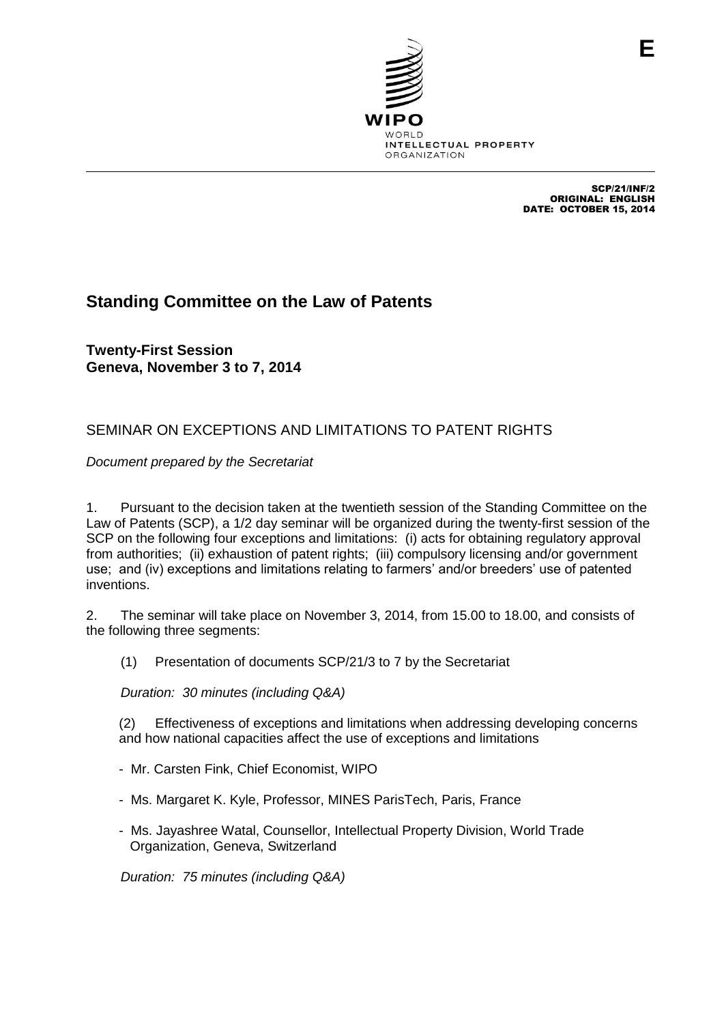

SCP/21/INF/2 ORIGINAL: ENGLISH DATE: OCTOBER 15, 2014

## **Standing Committee on the Law of Patents**

**Twenty-First Session Geneva, November 3 to 7, 2014**

## SEMINAR ON EXCEPTIONS AND LIMITATIONS TO PATENT RIGHTS

*Document prepared by the Secretariat*

1. Pursuant to the decision taken at the twentieth session of the Standing Committee on the Law of Patents (SCP), a 1/2 day seminar will be organized during the twenty-first session of the SCP on the following four exceptions and limitations: (i) acts for obtaining regulatory approval from authorities; (ii) exhaustion of patent rights; (iii) compulsory licensing and/or government use; and (iv) exceptions and limitations relating to farmers' and/or breeders' use of patented inventions.

2. The seminar will take place on November 3, 2014, from 15.00 to 18.00, and consists of the following three segments:

(1) Presentation of documents SCP/21/3 to 7 by the Secretariat

*Duration: 30 minutes (including Q&A)*

(2) Effectiveness of exceptions and limitations when addressing developing concerns and how national capacities affect the use of exceptions and limitations

- Mr. Carsten Fink, Chief Economist, WIPO
- Ms. Margaret K. Kyle, Professor, MINES ParisTech, Paris, France
- Ms. Jayashree Watal, Counsellor, Intellectual Property Division, World Trade Organization, Geneva, Switzerland

*Duration: 75 minutes (including Q&A)*

**E**